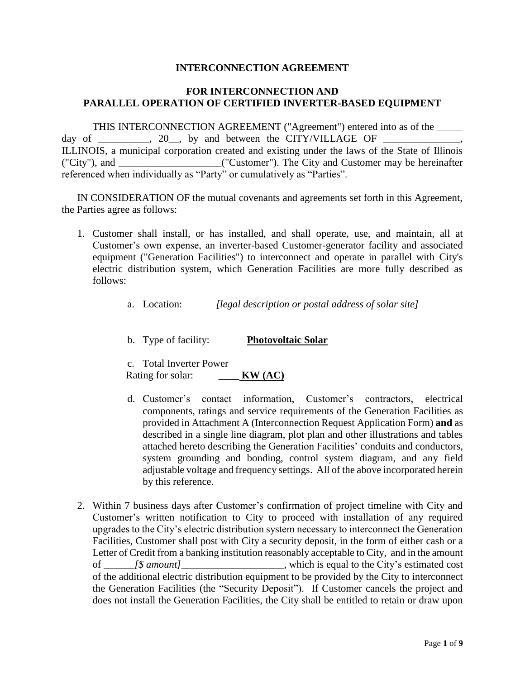#### **INTERCONNECTION AGREEMENT**

#### **FOR INTERCONNECTION AND PARALLEL OPERATION OF CERTIFIED INVERTER-BASED EQUIPMENT**

THIS INTERCONNECTION AGREEMENT ("Agreement") entered into as of the \_\_\_\_\_ day of \_\_\_\_\_\_\_\_, 20\_, by and between the CITY/VILLAGE OF ILLINOIS, a municipal corporation created and existing under the laws of the State of Illinois ("City"), and \_\_\_\_\_\_\_\_\_\_\_\_\_\_\_\_\_\_\_\_("Customer"). The City and Customer may be hereinafter referenced when individually as "Party" or cumulatively as "Parties".

IN CONSIDERATION OF the mutual covenants and agreements set forth in this Agreement, the Parties agree as follows:

- 1. Customer shall install, or has installed, and shall operate, use, and maintain, all at Customer's own expense, an inverter-based Customer-generator facility and associated equipment ("Generation Facilities") to interconnect and operate in parallel with City's electric distribution system, which Generation Facilities are more fully described as follows:
	- a. Location: *[legal description or postal address of solar site]*
	- b. Type of facility: **Photovoltaic Solar**

c. Total Inverter Power Rating for solar: \_\_\_\_ **KW (AC)**

- d. Customer's contact information, Customer's contractors, electrical components, ratings and service requirements of the Generation Facilities as provided in Attachment A (Interconnection Request Application Form) **and** as described in a single line diagram, plot plan and other illustrations and tables attached hereto describing the Generation Facilities' conduits and conductors, system grounding and bonding, control system diagram, and any field adjustable voltage and frequency settings. All of the above incorporated herein by this reference.
- 2. Within 7 business days after Customer's confirmation of project timeline with City and Customer's written notification to City to proceed with installation of any required upgrades to the City's electric distribution system necessary to interconnect the Generation Facilities, Customer shall post with City a security deposit, in the form of either cash or a Letter of Credit from a banking institution reasonably acceptable to City, and in the amount of *\_\_\_\_\_\_[\$ amount]*\_\_\_\_\_\_\_\_\_\_\_\_\_\_\_\_\_\_\_\_, which is equal to the City's estimated cost of the additional electric distribution equipment to be provided by the City to interconnect the Generation Facilities (the "Security Deposit"). If Customer cancels the project and does not install the Generation Facilities, the City shall be entitled to retain or draw upon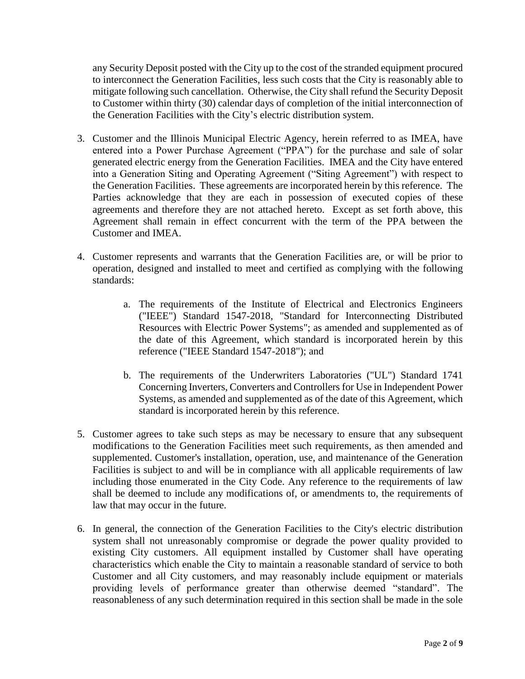any Security Deposit posted with the City up to the cost of the stranded equipment procured to interconnect the Generation Facilities, less such costs that the City is reasonably able to mitigate following such cancellation. Otherwise, the City shall refund the Security Deposit to Customer within thirty (30) calendar days of completion of the initial interconnection of the Generation Facilities with the City's electric distribution system.

- 3. Customer and the Illinois Municipal Electric Agency, herein referred to as IMEA, have entered into a Power Purchase Agreement ("PPA") for the purchase and sale of solar generated electric energy from the Generation Facilities. IMEA and the City have entered into a Generation Siting and Operating Agreement ("Siting Agreement") with respect to the Generation Facilities. These agreements are incorporated herein by this reference. The Parties acknowledge that they are each in possession of executed copies of these agreements and therefore they are not attached hereto. Except as set forth above, this Agreement shall remain in effect concurrent with the term of the PPA between the Customer and IMEA.
- 4. Customer represents and warrants that the Generation Facilities are, or will be prior to operation, designed and installed to meet and certified as complying with the following standards:
	- a. The requirements of the Institute of Electrical and Electronics Engineers ("IEEE") Standard 1547-2018, "Standard for Interconnecting Distributed Resources with Electric Power Systems"; as amended and supplemented as of the date of this Agreement, which standard is incorporated herein by this reference ("IEEE Standard 1547-2018"); and
	- b. The requirements of the Underwriters Laboratories ("UL") Standard 1741 Concerning Inverters, Converters and Controllers for Use in Independent Power Systems, as amended and supplemented as of the date of this Agreement, which standard is incorporated herein by this reference.
- 5. Customer agrees to take such steps as may be necessary to ensure that any subsequent modifications to the Generation Facilities meet such requirements, as then amended and supplemented. Customer's installation, operation, use, and maintenance of the Generation Facilities is subject to and will be in compliance with all applicable requirements of law including those enumerated in the City Code. Any reference to the requirements of law shall be deemed to include any modifications of, or amendments to, the requirements of law that may occur in the future.
- 6. In general, the connection of the Generation Facilities to the City's electric distribution system shall not unreasonably compromise or degrade the power quality provided to existing City customers. All equipment installed by Customer shall have operating characteristics which enable the City to maintain a reasonable standard of service to both Customer and all City customers, and may reasonably include equipment or materials providing levels of performance greater than otherwise deemed "standard". The reasonableness of any such determination required in this section shall be made in the sole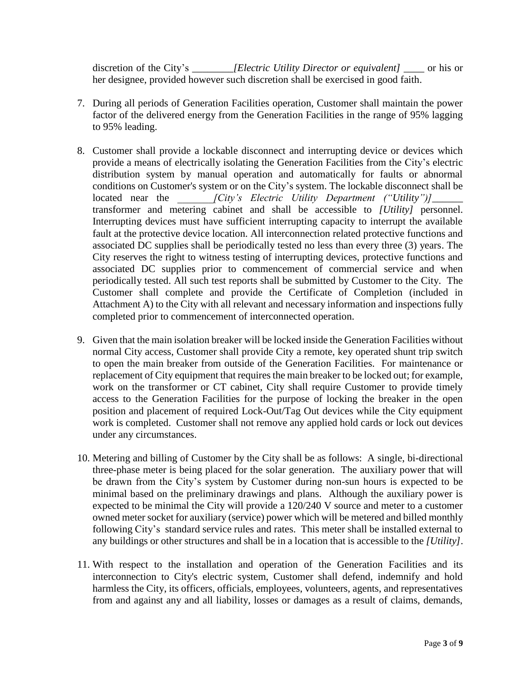discretion of the City's *\_\_\_\_\_\_\_\_[Electric Utility Director or equivalent]* \_\_\_\_ or his or her designee, provided however such discretion shall be exercised in good faith.

- 7. During all periods of Generation Facilities operation, Customer shall maintain the power factor of the delivered energy from the Generation Facilities in the range of 95% lagging to 95% leading.
- 8. Customer shall provide a lockable disconnect and interrupting device or devices which provide a means of electrically isolating the Generation Facilities from the City's electric distribution system by manual operation and automatically for faults or abnormal conditions on Customer's system or on the City's system. The lockable disconnect shall be located near the *[City's Electric Utility Department ("Utility")*] transformer and metering cabinet and shall be accessible to *[Utility]* personnel. Interrupting devices must have sufficient interrupting capacity to interrupt the available fault at the protective device location. All interconnection related protective functions and associated DC supplies shall be periodically tested no less than every three (3) years. The City reserves the right to witness testing of interrupting devices, protective functions and associated DC supplies prior to commencement of commercial service and when periodically tested. All such test reports shall be submitted by Customer to the City. The Customer shall complete and provide the Certificate of Completion (included in Attachment A) to the City with all relevant and necessary information and inspections fully completed prior to commencement of interconnected operation.
- 9. Given that the main isolation breaker will be locked inside the Generation Facilities without normal City access, Customer shall provide City a remote, key operated shunt trip switch to open the main breaker from outside of the Generation Facilities. For maintenance or replacement of City equipment that requires the main breaker to be locked out; for example, work on the transformer or CT cabinet, City shall require Customer to provide timely access to the Generation Facilities for the purpose of locking the breaker in the open position and placement of required Lock-Out/Tag Out devices while the City equipment work is completed. Customer shall not remove any applied hold cards or lock out devices under any circumstances.
- 10. Metering and billing of Customer by the City shall be as follows: A single, bi-directional three-phase meter is being placed for the solar generation. The auxiliary power that will be drawn from the City's system by Customer during non-sun hours is expected to be minimal based on the preliminary drawings and plans. Although the auxiliary power is expected to be minimal the City will provide a 120/240 V source and meter to a customer owned meter socket for auxiliary (service) power which will be metered and billed monthly following City's standard service rules and rates. This meter shall be installed external to any buildings or other structures and shall be in a location that is accessible to the *[Utility]*.
- 11. With respect to the installation and operation of the Generation Facilities and its interconnection to City's electric system, Customer shall defend, indemnify and hold harmless the City, its officers, officials, employees, volunteers, agents, and representatives from and against any and all liability, losses or damages as a result of claims, demands,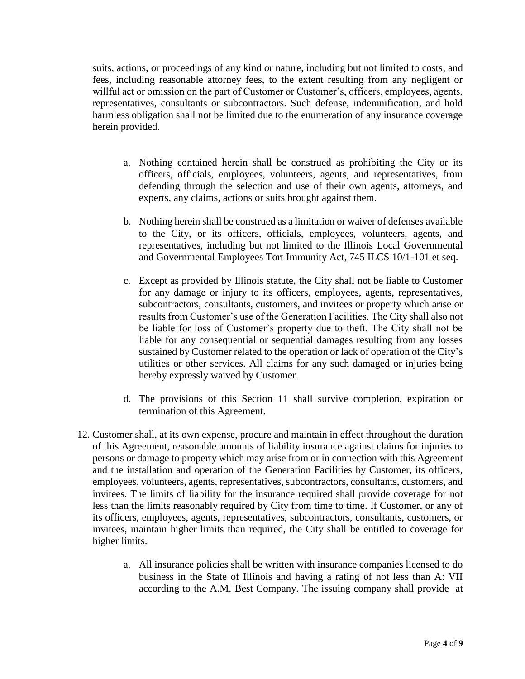suits, actions, or proceedings of any kind or nature, including but not limited to costs, and fees, including reasonable attorney fees, to the extent resulting from any negligent or willful act or omission on the part of Customer or Customer's, officers, employees, agents, representatives, consultants or subcontractors. Such defense, indemnification, and hold harmless obligation shall not be limited due to the enumeration of any insurance coverage herein provided.

- a. Nothing contained herein shall be construed as prohibiting the City or its officers, officials, employees, volunteers, agents, and representatives, from defending through the selection and use of their own agents, attorneys, and experts, any claims, actions or suits brought against them.
- b. Nothing herein shall be construed as a limitation or waiver of defenses available to the City, or its officers, officials, employees, volunteers, agents, and representatives, including but not limited to the Illinois Local Governmental and Governmental Employees Tort Immunity Act, 745 ILCS 10/1-101 et seq.
- c. Except as provided by Illinois statute, the City shall not be liable to Customer for any damage or injury to its officers, employees, agents, representatives, subcontractors, consultants, customers, and invitees or property which arise or results from Customer's use of the Generation Facilities. The City shall also not be liable for loss of Customer's property due to theft. The City shall not be liable for any consequential or sequential damages resulting from any losses sustained by Customer related to the operation or lack of operation of the City's utilities or other services. All claims for any such damaged or injuries being hereby expressly waived by Customer.
- d. The provisions of this Section 11 shall survive completion, expiration or termination of this Agreement.
- 12. Customer shall, at its own expense, procure and maintain in effect throughout the duration of this Agreement, reasonable amounts of liability insurance against claims for injuries to persons or damage to property which may arise from or in connection with this Agreement and the installation and operation of the Generation Facilities by Customer, its officers, employees, volunteers, agents, representatives, subcontractors, consultants, customers, and invitees. The limits of liability for the insurance required shall provide coverage for not less than the limits reasonably required by City from time to time. If Customer, or any of its officers, employees, agents, representatives, subcontractors, consultants, customers, or invitees, maintain higher limits than required, the City shall be entitled to coverage for higher limits.
	- a. All insurance policies shall be written with insurance companies licensed to do business in the State of Illinois and having a rating of not less than A: VII according to the A.M. Best Company. The issuing company shall provide at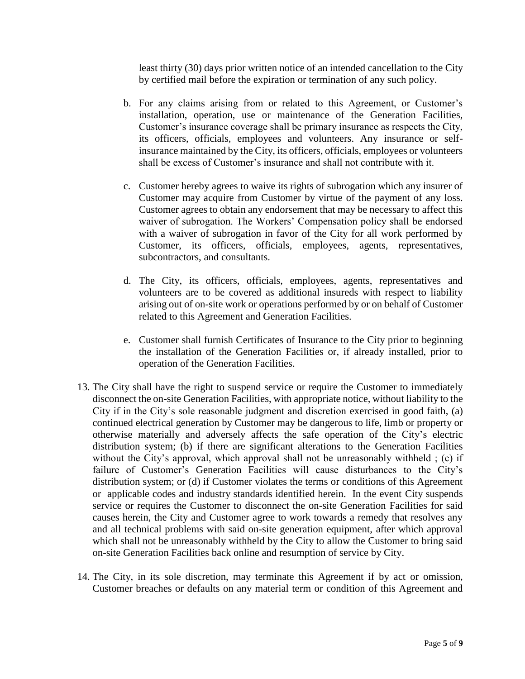least thirty (30) days prior written notice of an intended cancellation to the City by certified mail before the expiration or termination of any such policy.

- b. For any claims arising from or related to this Agreement, or Customer's installation, operation, use or maintenance of the Generation Facilities, Customer's insurance coverage shall be primary insurance as respects the City, its officers, officials, employees and volunteers. Any insurance or selfinsurance maintained by the City, its officers, officials, employees or volunteers shall be excess of Customer's insurance and shall not contribute with it.
- c. Customer hereby agrees to waive its rights of subrogation which any insurer of Customer may acquire from Customer by virtue of the payment of any loss. Customer agrees to obtain any endorsement that may be necessary to affect this waiver of subrogation. The Workers' Compensation policy shall be endorsed with a waiver of subrogation in favor of the City for all work performed by Customer, its officers, officials, employees, agents, representatives, subcontractors, and consultants.
- d. The City, its officers, officials, employees, agents, representatives and volunteers are to be covered as additional insureds with respect to liability arising out of on-site work or operations performed by or on behalf of Customer related to this Agreement and Generation Facilities.
- e. Customer shall furnish Certificates of Insurance to the City prior to beginning the installation of the Generation Facilities or, if already installed, prior to operation of the Generation Facilities.
- 13. The City shall have the right to suspend service or require the Customer to immediately disconnect the on-site Generation Facilities, with appropriate notice, without liability to the City if in the City's sole reasonable judgment and discretion exercised in good faith, (a) continued electrical generation by Customer may be dangerous to life, limb or property or otherwise materially and adversely affects the safe operation of the City's electric distribution system; (b) if there are significant alterations to the Generation Facilities without the City's approval, which approval shall not be unreasonably withheld; (c) if failure of Customer's Generation Facilities will cause disturbances to the City's distribution system; or (d) if Customer violates the terms or conditions of this Agreement or applicable codes and industry standards identified herein. In the event City suspends service or requires the Customer to disconnect the on-site Generation Facilities for said causes herein, the City and Customer agree to work towards a remedy that resolves any and all technical problems with said on-site generation equipment, after which approval which shall not be unreasonably withheld by the City to allow the Customer to bring said on-site Generation Facilities back online and resumption of service by City.
- 14. The City, in its sole discretion, may terminate this Agreement if by act or omission, Customer breaches or defaults on any material term or condition of this Agreement and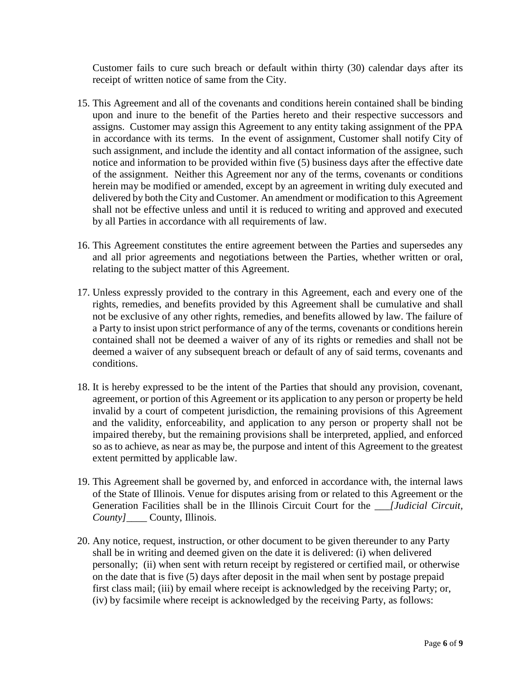Customer fails to cure such breach or default within thirty (30) calendar days after its receipt of written notice of same from the City.

- 15. This Agreement and all of the covenants and conditions herein contained shall be binding upon and inure to the benefit of the Parties hereto and their respective successors and assigns. Customer may assign this Agreement to any entity taking assignment of the PPA in accordance with its terms. In the event of assignment, Customer shall notify City of such assignment, and include the identity and all contact information of the assignee, such notice and information to be provided within five (5) business days after the effective date of the assignment. Neither this Agreement nor any of the terms, covenants or conditions herein may be modified or amended, except by an agreement in writing duly executed and delivered by both the City and Customer. An amendment or modification to this Agreement shall not be effective unless and until it is reduced to writing and approved and executed by all Parties in accordance with all requirements of law.
- 16. This Agreement constitutes the entire agreement between the Parties and supersedes any and all prior agreements and negotiations between the Parties, whether written or oral, relating to the subject matter of this Agreement.
- 17. Unless expressly provided to the contrary in this Agreement, each and every one of the rights, remedies, and benefits provided by this Agreement shall be cumulative and shall not be exclusive of any other rights, remedies, and benefits allowed by law. The failure of a Party to insist upon strict performance of any of the terms, covenants or conditions herein contained shall not be deemed a waiver of any of its rights or remedies and shall not be deemed a waiver of any subsequent breach or default of any of said terms, covenants and conditions.
- 18. It is hereby expressed to be the intent of the Parties that should any provision, covenant, agreement, or portion of this Agreement or its application to any person or property be held invalid by a court of competent jurisdiction, the remaining provisions of this Agreement and the validity, enforceability, and application to any person or property shall not be impaired thereby, but the remaining provisions shall be interpreted, applied, and enforced so as to achieve, as near as may be, the purpose and intent of this Agreement to the greatest extent permitted by applicable law.
- 19. This Agreement shall be governed by, and enforced in accordance with, the internal laws of the State of Illinois. Venue for disputes arising from or related to this Agreement or the Generation Facilities shall be in the Illinois Circuit Court for the *\_\_\_[Judicial Circuit, County]*\_\_\_\_ County, Illinois.
- 20. Any notice, request, instruction, or other document to be given thereunder to any Party shall be in writing and deemed given on the date it is delivered: (i) when delivered personally; (ii) when sent with return receipt by registered or certified mail, or otherwise on the date that is five (5) days after deposit in the mail when sent by postage prepaid first class mail; (iii) by email where receipt is acknowledged by the receiving Party; or, (iv) by facsimile where receipt is acknowledged by the receiving Party, as follows: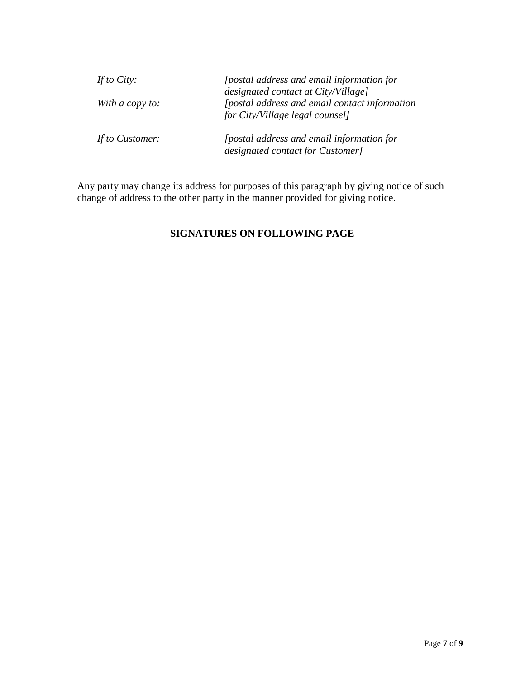| If to City:     | <i>[postal address and email information for</i>                                                                         |
|-----------------|--------------------------------------------------------------------------------------------------------------------------|
| With a copy to: | designated contact at City/Village]<br>[postal address and email contact information]<br>for City/Village legal counsel] |
| If to Customer: | [postal address and email information for<br>designated contact for Customer]                                            |

Any party may change its address for purposes of this paragraph by giving notice of such change of address to the other party in the manner provided for giving notice.

### **SIGNATURES ON FOLLOWING PAGE**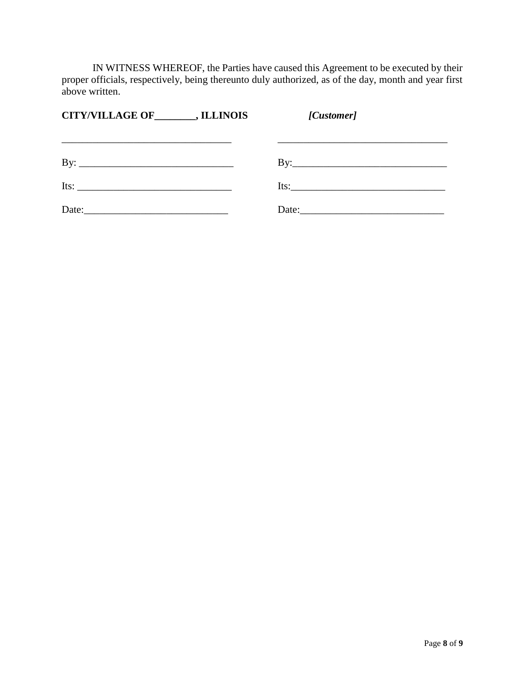IN WITNESS WHEREOF, the Parties have caused this Agreement to be executed by their proper officials, respectively, being thereunto duly authorized, as of the day, month and year first above written.

| CITY/VILLAGE OF _________, ILLINOIS | [Customer]         |
|-------------------------------------|--------------------|
|                                     |                    |
|                                     |                    |
|                                     | Its: $\frac{1}{2}$ |
| Date: $\qquad \qquad$               | Date:              |